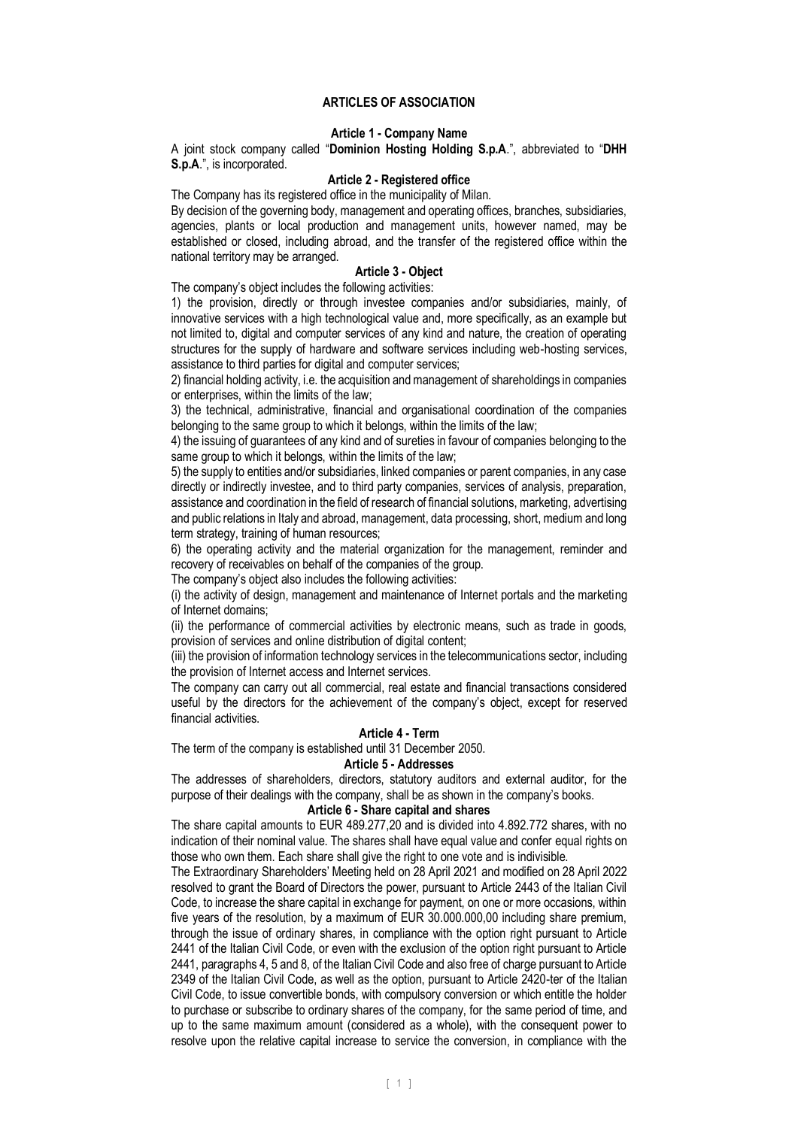## **ARTICLES OF ASSOCIATION**

#### **Article 1 - Company Name**

A joint stock company called "**Dominion Hosting Holding S.p.A**.", abbreviated to "**DHH S.p.A**.", is incorporated.

### **Article 2 - Registered office**

The Company has its registered office in the municipality of Milan.

By decision of the governing body, management and operating offices, branches, subsidiaries, agencies, plants or local production and management units, however named, may be established or closed, including abroad, and the transfer of the registered office within the national territory may be arranged.

## **Article 3 - Object**

The company's object includes the following activities:

1) the provision, directly or through investee companies and/or subsidiaries, mainly, of innovative services with a high technological value and, more specifically, as an example but not limited to, digital and computer services of any kind and nature, the creation of operating structures for the supply of hardware and software services including web-hosting services, assistance to third parties for digital and computer services;

2) financial holding activity, i.e. the acquisition and management of shareholdings in companies or enterprises, within the limits of the law;

3) the technical, administrative, financial and organisational coordination of the companies belonging to the same group to which it belongs, within the limits of the law;

4) the issuing of guarantees of any kind and of sureties in favour of companies belonging to the same group to which it belongs, within the limits of the law;

5) the supply to entities and/or subsidiaries, linked companies or parent companies, in any case directly or indirectly investee, and to third party companies, services of analysis, preparation, assistance and coordination in the field of research of financial solutions, marketing, advertising and public relations in Italy and abroad, management, data processing, short, medium and long term strategy, training of human resources;

6) the operating activity and the material organization for the management, reminder and recovery of receivables on behalf of the companies of the group.

The company's object also includes the following activities:

(i) the activity of design, management and maintenance of Internet portals and the marketing of Internet domains;

(ii) the performance of commercial activities by electronic means, such as trade in goods, provision of services and online distribution of digital content;

(iii) the provision of information technology services in the telecommunications sector, including the provision of Internet access and Internet services.

The company can carry out all commercial, real estate and financial transactions considered useful by the directors for the achievement of the company's object, except for reserved financial activities.

#### **Article 4 - Term**

The term of the company is established until 31 December 2050.

# **Article 5 - Addresses**

The addresses of shareholders, directors, statutory auditors and external auditor, for the purpose of their dealings with the company, shall be as shown in the company's books.

#### **Article 6 - Share capital and shares**

The share capital amounts to EUR 489.277,20 and is divided into 4.892.772 shares, with no indication of their nominal value. The shares shall have equal value and confer equal rights on those who own them. Each share shall give the right to one vote and is indivisible.

The Extraordinary Shareholders' Meeting held on 28 April 2021 and modified on 28 April 2022 resolved to grant the Board of Directors the power, pursuant to Article 2443 of the Italian Civil Code, to increase the share capital in exchange for payment, on one or more occasions, within five years of the resolution, by a maximum of EUR 30.000.000,00 including share premium, through the issue of ordinary shares, in compliance with the option right pursuant to Article 2441 of the Italian Civil Code, or even with the exclusion of the option right pursuant to Article 2441, paragraphs 4, 5 and 8, of the Italian Civil Code and also free of charge pursuant to Article 2349 of the Italian Civil Code, as well as the option, pursuant to Article 2420-ter of the Italian Civil Code, to issue convertible bonds, with compulsory conversion or which entitle the holder to purchase or subscribe to ordinary shares of the company, for the same period of time, and up to the same maximum amount (considered as a whole), with the consequent power to resolve upon the relative capital increase to service the conversion, in compliance with the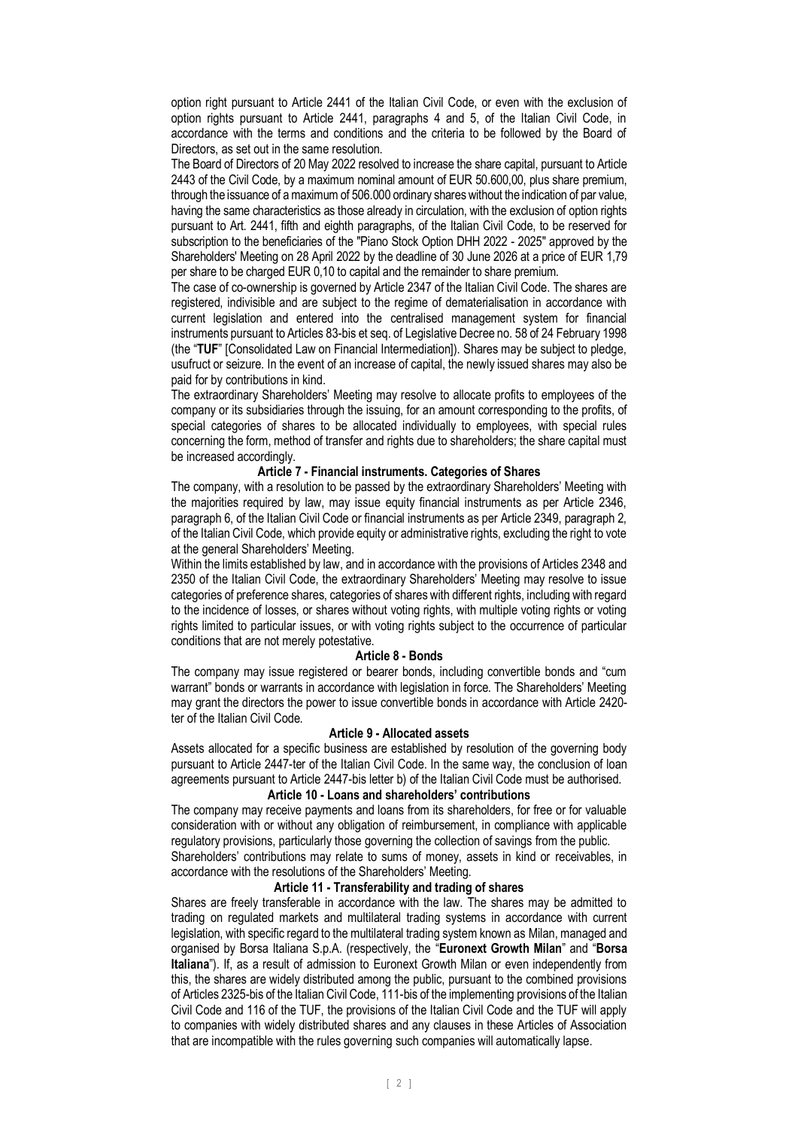option right pursuant to Article 2441 of the Italian Civil Code, or even with the exclusion of option rights pursuant to Article 2441, paragraphs 4 and 5, of the Italian Civil Code, in accordance with the terms and conditions and the criteria to be followed by the Board of Directors, as set out in the same resolution.

The Board of Directors of 20 May 2022 resolved to increase the share capital, pursuant to Article 2443 of the Civil Code, by a maximum nominal amount of EUR 50.600,00, plus share premium, through the issuance of a maximum of 506.000 ordinary shares without the indication of par value, having the same characteristics as those already in circulation, with the exclusion of option rights pursuant to Art. 2441, fifth and eighth paragraphs, of the Italian Civil Code, to be reserved for subscription to the beneficiaries of the "Piano Stock Option DHH 2022 - 2025" approved by the Shareholders' Meeting on 28 April 2022 by the deadline of 30 June 2026 at a price of EUR 1,79 per share to be charged EUR 0,10 to capital and the remainder to share premium.

The case of co-ownership is governed by Article 2347 of the Italian Civil Code. The shares are registered, indivisible and are subject to the regime of dematerialisation in accordance with current legislation and entered into the centralised management system for financial instruments pursuant to Articles 83-bis et seq. of Legislative Decree no. 58 of 24 February 1998 (the "**TUF**" [Consolidated Law on Financial Intermediation]). Shares may be subject to pledge, usufruct or seizure. In the event of an increase of capital, the newly issued shares may also be paid for by contributions in kind.

The extraordinary Shareholders' Meeting may resolve to allocate profits to employees of the company or its subsidiaries through the issuing, for an amount corresponding to the profits, of special categories of shares to be allocated individually to employees, with special rules concerning the form, method of transfer and rights due to shareholders; the share capital must be increased accordingly.

# **Article 7 - Financial instruments. Categories of Shares**

The company, with a resolution to be passed by the extraordinary Shareholders' Meeting with the majorities required by law, may issue equity financial instruments as per Article 2346, paragraph 6, of the Italian Civil Code or financial instruments as per Article 2349, paragraph 2, of the Italian Civil Code, which provide equity or administrative rights, excluding the right to vote at the general Shareholders' Meeting.

Within the limits established by law, and in accordance with the provisions of Articles 2348 and 2350 of the Italian Civil Code, the extraordinary Shareholders' Meeting may resolve to issue categories of preference shares, categories of shares with different rights, including with regard to the incidence of losses, or shares without voting rights, with multiple voting rights or voting rights limited to particular issues, or with voting rights subject to the occurrence of particular conditions that are not merely potestative.

### **Article 8 - Bonds**

The company may issue registered or bearer bonds, including convertible bonds and "cum warrant" bonds or warrants in accordance with legislation in force. The Shareholders' Meeting may grant the directors the power to issue convertible bonds in accordance with Article 2420 ter of the Italian Civil Code.

## **Article 9 - Allocated assets**

Assets allocated for a specific business are established by resolution of the governing body pursuant to Article 2447-ter of the Italian Civil Code. In the same way, the conclusion of loan agreements pursuant to Article 2447-bis letter b) of the Italian Civil Code must be authorised.

# **Article 10 - Loans and shareholders' contributions**

The company may receive payments and loans from its shareholders, for free or for valuable consideration with or without any obligation of reimbursement, in compliance with applicable regulatory provisions, particularly those governing the collection of savings from the public. Shareholders' contributions may relate to sums of money, assets in kind or receivables, in accordance with the resolutions of the Shareholders' Meeting.

### **Article 11 - Transferability and trading of shares**

Shares are freely transferable in accordance with the law. The shares may be admitted to trading on regulated markets and multilateral trading systems in accordance with current legislation, with specific regard to the multilateral trading system known as Milan, managed and organised by Borsa Italiana S.p.A. (respectively, the "**Euronext Growth Milan**" and "**Borsa Italiana**"). If, as a result of admission to Euronext Growth Milan or even independently from this, the shares are widely distributed among the public, pursuant to the combined provisions of Articles 2325-bis of the Italian Civil Code, 111-bis of the implementing provisions of the Italian Civil Code and 116 of the TUF, the provisions of the Italian Civil Code and the TUF will apply to companies with widely distributed shares and any clauses in these Articles of Association that are incompatible with the rules governing such companies will automatically lapse.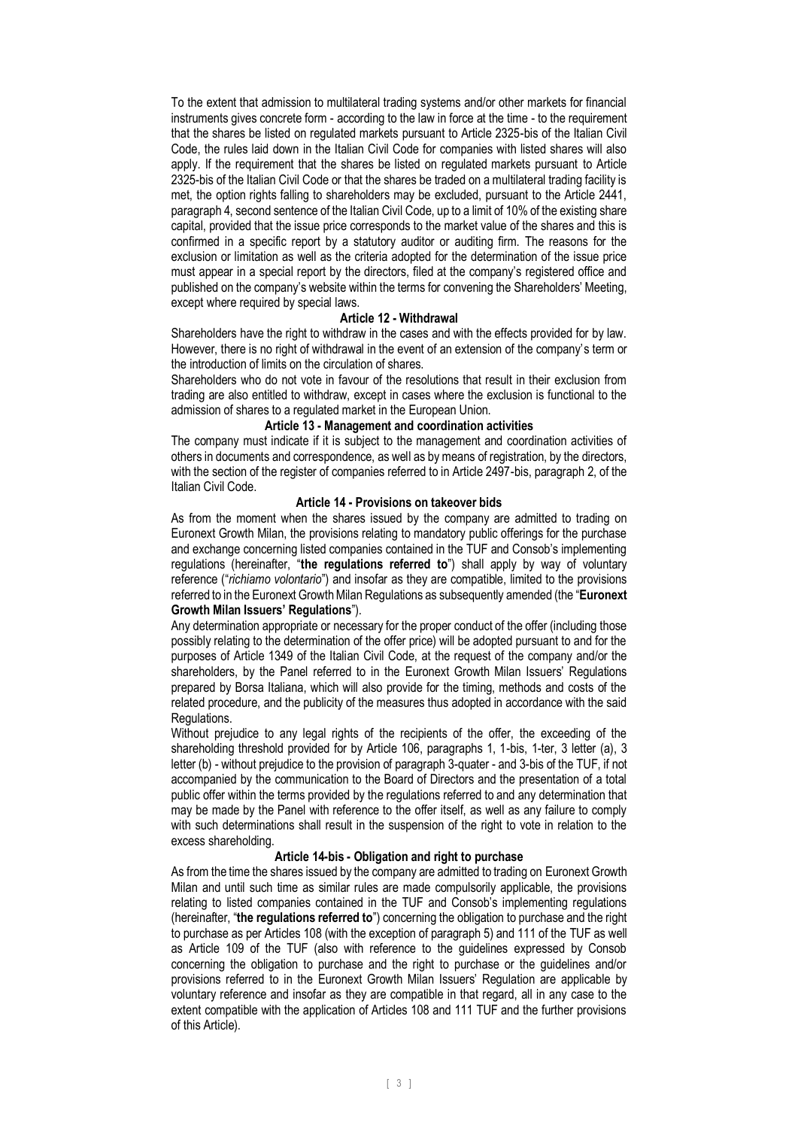To the extent that admission to multilateral trading systems and/or other markets for financial instruments gives concrete form - according to the law in force at the time - to the requirement that the shares be listed on regulated markets pursuant to Article 2325-bis of the Italian Civil Code, the rules laid down in the Italian Civil Code for companies with listed shares will also apply. If the requirement that the shares be listed on regulated markets pursuant to Article 2325-bis of the Italian Civil Code or that the shares be traded on a multilateral trading facility is met, the option rights falling to shareholders may be excluded, pursuant to the Article 2441, paragraph 4, second sentence of the Italian Civil Code, up to a limit of 10% of the existing share capital, provided that the issue price corresponds to the market value of the shares and this is confirmed in a specific report by a statutory auditor or auditing firm. The reasons for the exclusion or limitation as well as the criteria adopted for the determination of the issue price must appear in a special report by the directors, filed at the company's registered office and published on the company's website within the terms for convening the Shareholders' Meeting, except where required by special laws.

### **Article 12 - Withdrawal**

Shareholders have the right to withdraw in the cases and with the effects provided for by law. However, there is no right of withdrawal in the event of an extension of the company's term or the introduction of limits on the circulation of shares.

Shareholders who do not vote in favour of the resolutions that result in their exclusion from trading are also entitled to withdraw, except in cases where the exclusion is functional to the admission of shares to a regulated market in the European Union.

## **Article 13 - Management and coordination activities**

The company must indicate if it is subject to the management and coordination activities of others in documents and correspondence, as well as by means of registration, by the directors, with the section of the register of companies referred to in Article 2497-bis, paragraph 2, of the Italian Civil Code.

# **Article 14 - Provisions on takeover bids**

As from the moment when the shares issued by the company are admitted to trading on Euronext Growth Milan, the provisions relating to mandatory public offerings for the purchase and exchange concerning listed companies contained in the TUF and Consob's implementing regulations (hereinafter, "**the regulations referred to**") shall apply by way of voluntary reference ("*richiamo volontario*") and insofar as they are compatible, limited to the provisions referred to in the Euronext Growth Milan Regulations as subsequently amended (the "**Euronext Growth Milan Issuers' Regulations**").

Any determination appropriate or necessary for the proper conduct of the offer (including those possibly relating to the determination of the offer price) will be adopted pursuant to and for the purposes of Article 1349 of the Italian Civil Code, at the request of the company and/or the shareholders, by the Panel referred to in the Euronext Growth Milan Issuers' Regulations prepared by Borsa Italiana, which will also provide for the timing, methods and costs of the related procedure, and the publicity of the measures thus adopted in accordance with the said Regulations.

Without prejudice to any legal rights of the recipients of the offer, the exceeding of the shareholding threshold provided for by Article 106, paragraphs 1, 1-bis, 1-ter, 3 letter (a), 3 letter (b) - without prejudice to the provision of paragraph 3-quater - and 3-bis of the TUF, if not accompanied by the communication to the Board of Directors and the presentation of a total public offer within the terms provided by the regulations referred to and any determination that may be made by the Panel with reference to the offer itself, as well as any failure to comply with such determinations shall result in the suspension of the right to vote in relation to the excess shareholding.

# **Article 14-bis - Obligation and right to purchase**

As from the time the shares issued by the company are admitted to trading on Euronext Growth Milan and until such time as similar rules are made compulsorily applicable, the provisions relating to listed companies contained in the TUF and Consob's implementing regulations (hereinafter, "**the regulations referred to**") concerning the obligation to purchase and the right to purchase as per Articles 108 (with the exception of paragraph 5) and 111 of the TUF as well as Article 109 of the TUF (also with reference to the guidelines expressed by Consob concerning the obligation to purchase and the right to purchase or the guidelines and/or provisions referred to in the Euronext Growth Milan Issuers' Regulation are applicable by voluntary reference and insofar as they are compatible in that regard, all in any case to the extent compatible with the application of Articles 108 and 111 TUF and the further provisions of this Article).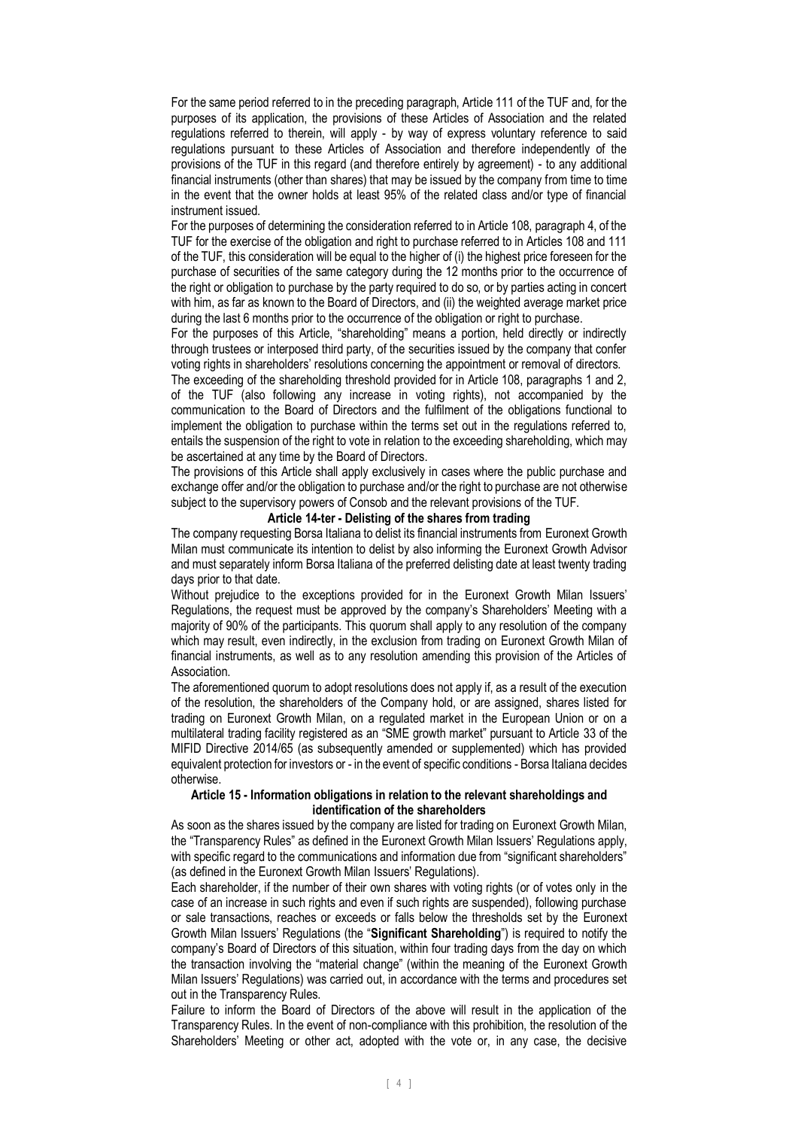For the same period referred to in the preceding paragraph, Article 111 of the TUF and, for the purposes of its application, the provisions of these Articles of Association and the related regulations referred to therein, will apply - by way of express voluntary reference to said regulations pursuant to these Articles of Association and therefore independently of the provisions of the TUF in this regard (and therefore entirely by agreement) - to any additional financial instruments (other than shares) that may be issued by the company from time to time in the event that the owner holds at least 95% of the related class and/or type of financial instrument issued.

For the purposes of determining the consideration referred to in Article 108, paragraph 4, of the TUF for the exercise of the obligation and right to purchase referred to in Articles 108 and 111 of the TUF, this consideration will be equal to the higher of (i) the highest price foreseen for the purchase of securities of the same category during the 12 months prior to the occurrence of the right or obligation to purchase by the party required to do so, or by parties acting in concert with him, as far as known to the Board of Directors, and (ii) the weighted average market price during the last 6 months prior to the occurrence of the obligation or right to purchase.

For the purposes of this Article, "shareholding" means a portion, held directly or indirectly through trustees or interposed third party, of the securities issued by the company that confer voting rights in shareholders' resolutions concerning the appointment or removal of directors.

The exceeding of the shareholding threshold provided for in Article 108, paragraphs 1 and 2, of the TUF (also following any increase in voting rights), not accompanied by the communication to the Board of Directors and the fulfilment of the obligations functional to implement the obligation to purchase within the terms set out in the regulations referred to, entails the suspension of the right to vote in relation to the exceeding shareholding, which may be ascertained at any time by the Board of Directors.

The provisions of this Article shall apply exclusively in cases where the public purchase and exchange offer and/or the obligation to purchase and/or the right to purchase are not otherwise subject to the supervisory powers of Consob and the relevant provisions of the TUF.

#### **Article 14-ter - Delisting of the shares from trading**

The company requesting Borsa Italiana to delist its financial instruments from Euronext Growth Milan must communicate its intention to delist by also informing the Euronext Growth Advisor and must separately inform Borsa Italiana of the preferred delisting date at least twenty trading days prior to that date.

Without prejudice to the exceptions provided for in the Euronext Growth Milan Issuers' Regulations, the request must be approved by the company's Shareholders' Meeting with a majority of 90% of the participants. This quorum shall apply to any resolution of the company which may result, even indirectly, in the exclusion from trading on Euronext Growth Milan of financial instruments, as well as to any resolution amending this provision of the Articles of Association.

The aforementioned quorum to adopt resolutions does not apply if, as a result of the execution of the resolution, the shareholders of the Company hold, or are assigned, shares listed for trading on Euronext Growth Milan, on a regulated market in the European Union or on a multilateral trading facility registered as an "SME growth market" pursuant to Article 33 of the MIFID Directive 2014/65 (as subsequently amended or supplemented) which has provided equivalent protection for investors or - in the event of specific conditions - Borsa Italiana decides otherwise.

### **Article 15 - Information obligations in relation to the relevant shareholdings and identification of the shareholders**

As soon as the shares issued by the company are listed for trading on Euronext Growth Milan, the "Transparency Rules" as defined in the Euronext Growth Milan Issuers' Regulations apply, with specific regard to the communications and information due from "significant shareholders" (as defined in the Euronext Growth Milan Issuers' Regulations).

Each shareholder, if the number of their own shares with voting rights (or of votes only in the case of an increase in such rights and even if such rights are suspended), following purchase or sale transactions, reaches or exceeds or falls below the thresholds set by the Euronext Growth Milan Issuers' Regulations (the "**Significant Shareholding**") is required to notify the company's Board of Directors of this situation, within four trading days from the day on which the transaction involving the "material change" (within the meaning of the Euronext Growth Milan Issuers' Regulations) was carried out, in accordance with the terms and procedures set out in the Transparency Rules.

Failure to inform the Board of Directors of the above will result in the application of the Transparency Rules. In the event of non-compliance with this prohibition, the resolution of the Shareholders' Meeting or other act, adopted with the vote or, in any case, the decisive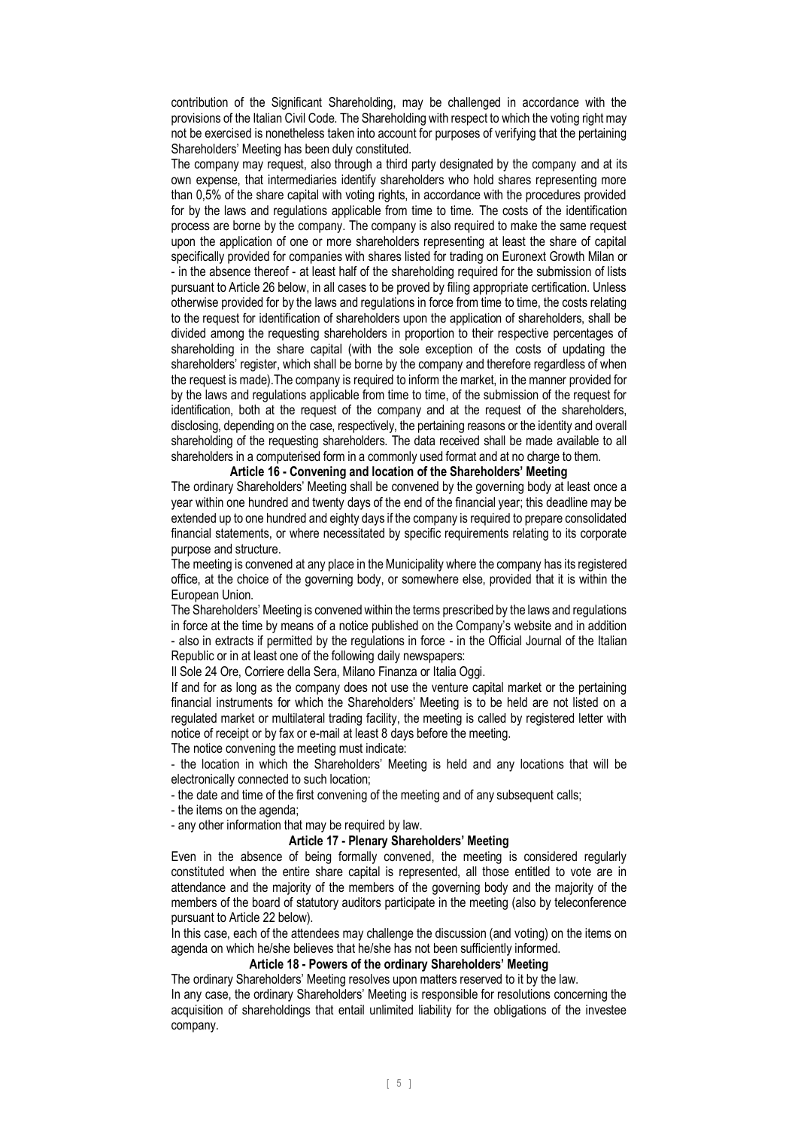contribution of the Significant Shareholding, may be challenged in accordance with the provisions of the Italian Civil Code. The Shareholding with respect to which the voting right may not be exercised is nonetheless taken into account for purposes of verifying that the pertaining Shareholders' Meeting has been duly constituted.

The company may request, also through a third party designated by the company and at its own expense, that intermediaries identify shareholders who hold shares representing more than 0,5% of the share capital with voting rights, in accordance with the procedures provided for by the laws and regulations applicable from time to time. The costs of the identification process are borne by the company. The company is also required to make the same request upon the application of one or more shareholders representing at least the share of capital specifically provided for companies with shares listed for trading on Euronext Growth Milan or - in the absence thereof - at least half of the shareholding required for the submission of lists pursuant to Article 26 below, in all cases to be proved by filing appropriate certification. Unless otherwise provided for by the laws and regulations in force from time to time, the costs relating to the request for identification of shareholders upon the application of shareholders, shall be divided among the requesting shareholders in proportion to their respective percentages of shareholding in the share capital (with the sole exception of the costs of updating the shareholders' register, which shall be borne by the company and therefore regardless of when the request is made).The company is required to inform the market, in the manner provided for by the laws and regulations applicable from time to time, of the submission of the request for identification, both at the request of the company and at the request of the shareholders, disclosing, depending on the case, respectively, the pertaining reasons or the identity and overall shareholding of the requesting shareholders. The data received shall be made available to all shareholders in a computerised form in a commonly used format and at no charge to them.

### **Article 16 - Convening and location of the Shareholders' Meeting**

The ordinary Shareholders' Meeting shall be convened by the governing body at least once a year within one hundred and twenty days of the end of the financial year; this deadline may be extended up to one hundred and eighty days if the company is required to prepare consolidated financial statements, or where necessitated by specific requirements relating to its corporate purpose and structure.

The meeting is convened at any place in the Municipality where the company has its registered office, at the choice of the governing body, or somewhere else, provided that it is within the European Union.

The Shareholders' Meeting is convened within the terms prescribed by the laws and regulations in force at the time by means of a notice published on the Company's website and in addition - also in extracts if permitted by the regulations in force - in the Official Journal of the Italian Republic or in at least one of the following daily newspapers:

Il Sole 24 Ore, Corriere della Sera, Milano Finanza or Italia Oggi.

If and for as long as the company does not use the venture capital market or the pertaining financial instruments for which the Shareholders' Meeting is to be held are not listed on a regulated market or multilateral trading facility, the meeting is called by registered letter with notice of receipt or by fax or e-mail at least 8 days before the meeting.

The notice convening the meeting must indicate:

- the location in which the Shareholders' Meeting is held and any locations that will be electronically connected to such location;

- the date and time of the first convening of the meeting and of any subsequent calls;

- the items on the agenda;

- any other information that may be required by law.

## **Article 17 - Plenary Shareholders' Meeting**

Even in the absence of being formally convened, the meeting is considered regularly constituted when the entire share capital is represented, all those entitled to vote are in attendance and the majority of the members of the governing body and the majority of the members of the board of statutory auditors participate in the meeting (also by teleconference pursuant to Article 22 below).

In this case, each of the attendees may challenge the discussion (and voting) on the items on agenda on which he/she believes that he/she has not been sufficiently informed.

### **Article 18 - Powers of the ordinary Shareholders' Meeting**

The ordinary Shareholders' Meeting resolves upon matters reserved to it by the law. In any case, the ordinary Shareholders' Meeting is responsible for resolutions concerning the acquisition of shareholdings that entail unlimited liability for the obligations of the investee company.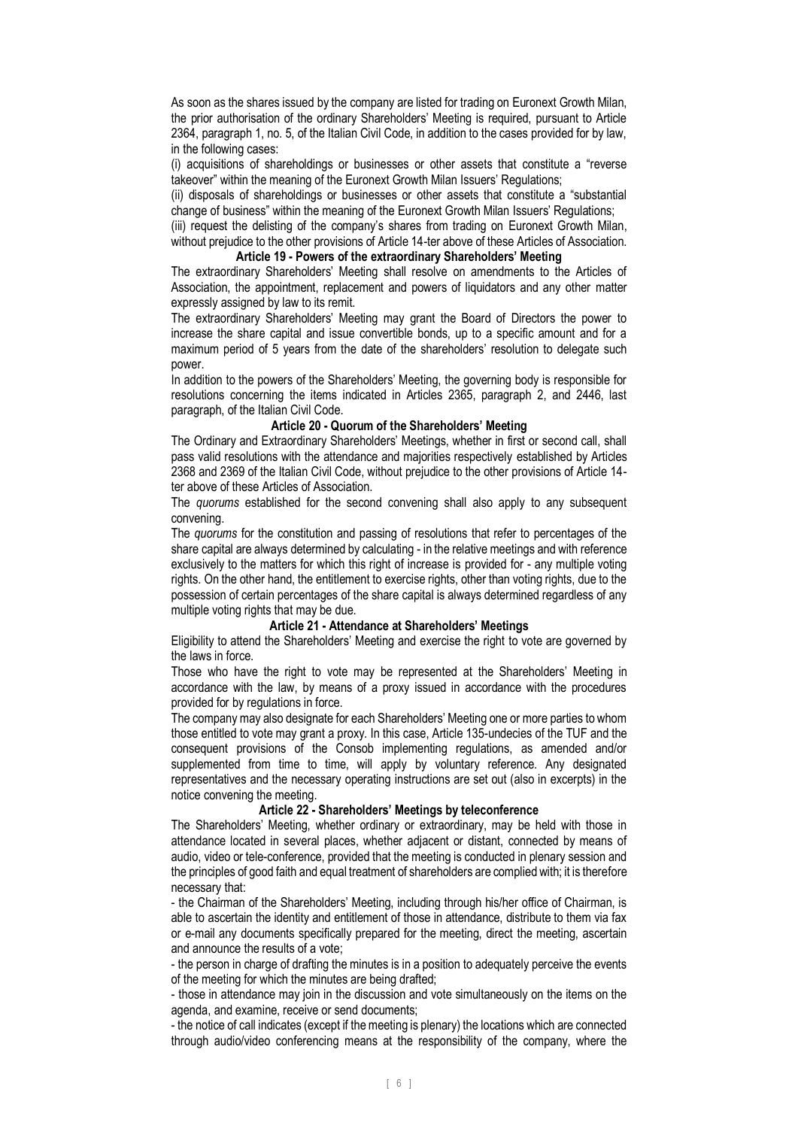As soon as the shares issued by the company are listed for trading on Euronext Growth Milan, the prior authorisation of the ordinary Shareholders' Meeting is required, pursuant to Article 2364, paragraph 1, no. 5, of the Italian Civil Code, in addition to the cases provided for by law, in the following cases:

(i) acquisitions of shareholdings or businesses or other assets that constitute a "reverse takeover" within the meaning of the Euronext Growth Milan Issuers' Regulations;

(ii) disposals of shareholdings or businesses or other assets that constitute a "substantial change of business" within the meaning of the Euronext Growth Milan Issuers' Regulations;

(iii) request the delisting of the company's shares from trading on Euronext Growth Milan,

without prejudice to the other provisions of Article 14-ter above of these Articles of Association. **Article 19 - Powers of the extraordinary Shareholders' Meeting**

The extraordinary Shareholders' Meeting shall resolve on amendments to the Articles of Association, the appointment, replacement and powers of liquidators and any other matter expressly assigned by law to its remit.

The extraordinary Shareholders' Meeting may grant the Board of Directors the power to increase the share capital and issue convertible bonds, up to a specific amount and for a maximum period of 5 years from the date of the shareholders' resolution to delegate such power.

In addition to the powers of the Shareholders' Meeting, the governing body is responsible for resolutions concerning the items indicated in Articles 2365, paragraph 2, and 2446, last paragraph, of the Italian Civil Code.

## **Article 20 - Quorum of the Shareholders' Meeting**

The Ordinary and Extraordinary Shareholders' Meetings, whether in first or second call, shall pass valid resolutions with the attendance and majorities respectively established by Articles 2368 and 2369 of the Italian Civil Code, without prejudice to the other provisions of Article 14 ter above of these Articles of Association.

The *quorums* established for the second convening shall also apply to any subsequent convening.

The *quorums* for the constitution and passing of resolutions that refer to percentages of the share capital are always determined by calculating - in the relative meetings and with reference exclusively to the matters for which this right of increase is provided for - any multiple voting rights. On the other hand, the entitlement to exercise rights, other than voting rights, due to the possession of certain percentages of the share capital is always determined regardless of any multiple voting rights that may be due.

### **Article 21 - Attendance at Shareholders' Meetings**

Eligibility to attend the Shareholders' Meeting and exercise the right to vote are governed by the laws in force.

Those who have the right to vote may be represented at the Shareholders' Meeting in accordance with the law, by means of a proxy issued in accordance with the procedures provided for by regulations in force.

The company may also designate for each Shareholders' Meeting one or more parties to whom those entitled to vote may grant a proxy. In this case, Article 135-undecies of the TUF and the consequent provisions of the Consob implementing regulations, as amended and/or supplemented from time to time, will apply by voluntary reference. Any designated representatives and the necessary operating instructions are set out (also in excerpts) in the notice convening the meeting.

### **Article 22 - Shareholders' Meetings by teleconference**

The Shareholders' Meeting, whether ordinary or extraordinary, may be held with those in attendance located in several places, whether adjacent or distant, connected by means of audio, video or tele-conference, provided that the meeting is conducted in plenary session and the principles of good faith and equal treatment of shareholders are complied with; it is therefore necessary that:

- the Chairman of the Shareholders' Meeting, including through his/her office of Chairman, is able to ascertain the identity and entitlement of those in attendance, distribute to them via fax or e-mail any documents specifically prepared for the meeting, direct the meeting, ascertain and announce the results of a vote;

- the person in charge of drafting the minutes is in a position to adequately perceive the events of the meeting for which the minutes are being drafted;

- those in attendance may join in the discussion and vote simultaneously on the items on the agenda, and examine, receive or send documents;

- the notice of call indicates (except if the meeting is plenary) the locations which are connected through audio/video conferencing means at the responsibility of the company, where the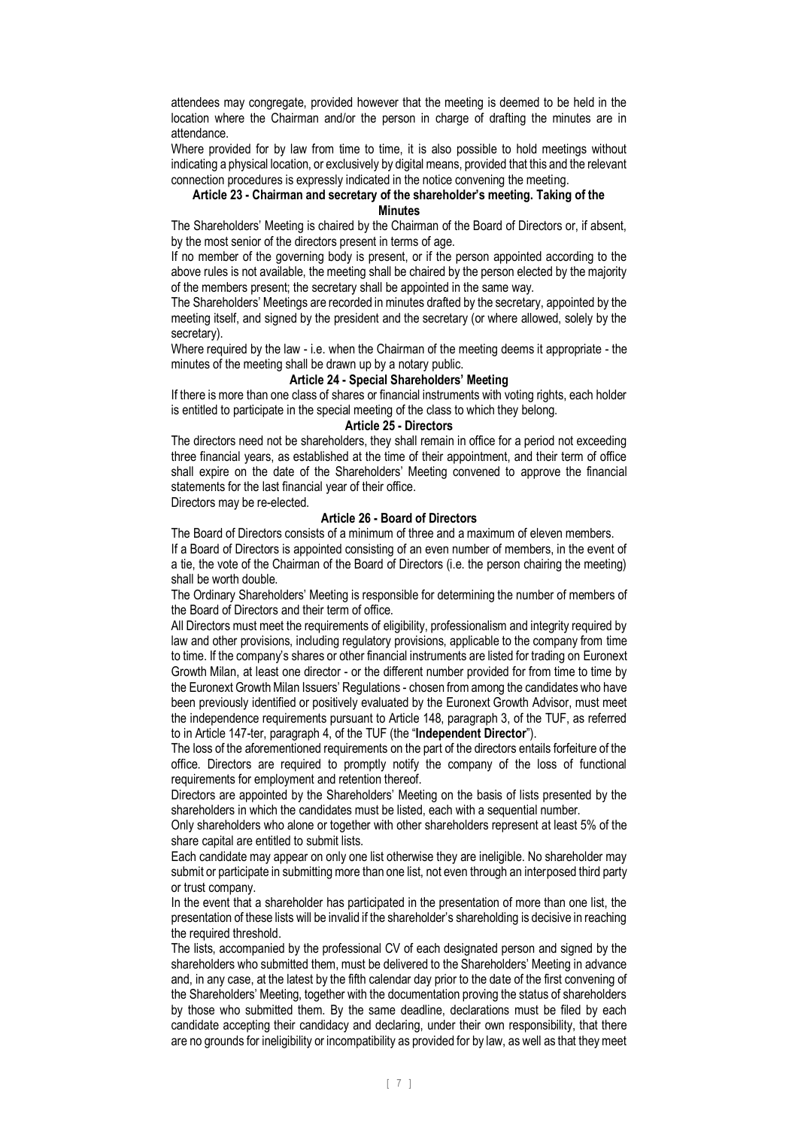attendees may congregate, provided however that the meeting is deemed to be held in the location where the Chairman and/or the person in charge of drafting the minutes are in attendance.

Where provided for by law from time to time, it is also possible to hold meetings without indicating a physical location, or exclusively by digital means, provided that this and the relevant connection procedures is expressly indicated in the notice convening the meeting.

#### **Article 23 - Chairman and secretary of the shareholder's meeting. Taking of the Minutes**

The Shareholders' Meeting is chaired by the Chairman of the Board of Directors or, if absent, by the most senior of the directors present in terms of age.

If no member of the governing body is present, or if the person appointed according to the above rules is not available, the meeting shall be chaired by the person elected by the majority of the members present; the secretary shall be appointed in the same way.

The Shareholders' Meetings are recorded in minutes drafted by the secretary, appointed by the meeting itself, and signed by the president and the secretary (or where allowed, solely by the secretary).

Where required by the law - i.e. when the Chairman of the meeting deems it appropriate - the minutes of the meeting shall be drawn up by a notary public.

# **Article 24 - Special Shareholders' Meeting**

If there is more than one class of shares or financial instruments with voting rights, each holder is entitled to participate in the special meeting of the class to which they belong.

## **Article 25 - Directors**

The directors need not be shareholders, they shall remain in office for a period not exceeding three financial years, as established at the time of their appointment, and their term of office shall expire on the date of the Shareholders' Meeting convened to approve the financial statements for the last financial year of their office.

Directors may be re-elected.

## **Article 26 - Board of Directors**

The Board of Directors consists of a minimum of three and a maximum of eleven members. If a Board of Directors is appointed consisting of an even number of members, in the event of a tie, the vote of the Chairman of the Board of Directors (i.e. the person chairing the meeting) shall be worth double.

The Ordinary Shareholders' Meeting is responsible for determining the number of members of the Board of Directors and their term of office.

All Directors must meet the requirements of eligibility, professionalism and integrity required by law and other provisions, including regulatory provisions, applicable to the company from time to time. If the company's shares or other financial instruments are listed for trading on Euronext Growth Milan, at least one director - or the different number provided for from time to time by the Euronext Growth Milan Issuers' Regulations - chosen from among the candidates who have been previously identified or positively evaluated by the Euronext Growth Advisor, must meet the independence requirements pursuant to Article 148, paragraph 3, of the TUF, as referred to in Article 147-ter, paragraph 4, of the TUF (the "**Independent Director**").

The loss of the aforementioned requirements on the part of the directors entails forfeiture of the office. Directors are required to promptly notify the company of the loss of functional requirements for employment and retention thereof.

Directors are appointed by the Shareholders' Meeting on the basis of lists presented by the shareholders in which the candidates must be listed, each with a sequential number.

Only shareholders who alone or together with other shareholders represent at least 5% of the share capital are entitled to submit lists.

Each candidate may appear on only one list otherwise they are ineligible. No shareholder may submit or participate in submitting more than one list, not even through an interposed third party or trust company.

In the event that a shareholder has participated in the presentation of more than one list, the presentation of these lists will be invalid if the shareholder's shareholding is decisive in reaching the required threshold.

The lists, accompanied by the professional CV of each designated person and signed by the shareholders who submitted them, must be delivered to the Shareholders' Meeting in advance and, in any case, at the latest by the fifth calendar day prior to the date of the first convening of the Shareholders' Meeting, together with the documentation proving the status of shareholders by those who submitted them. By the same deadline, declarations must be filed by each candidate accepting their candidacy and declaring, under their own responsibility, that there are no grounds for ineligibility or incompatibility as provided for by law, as well as that they meet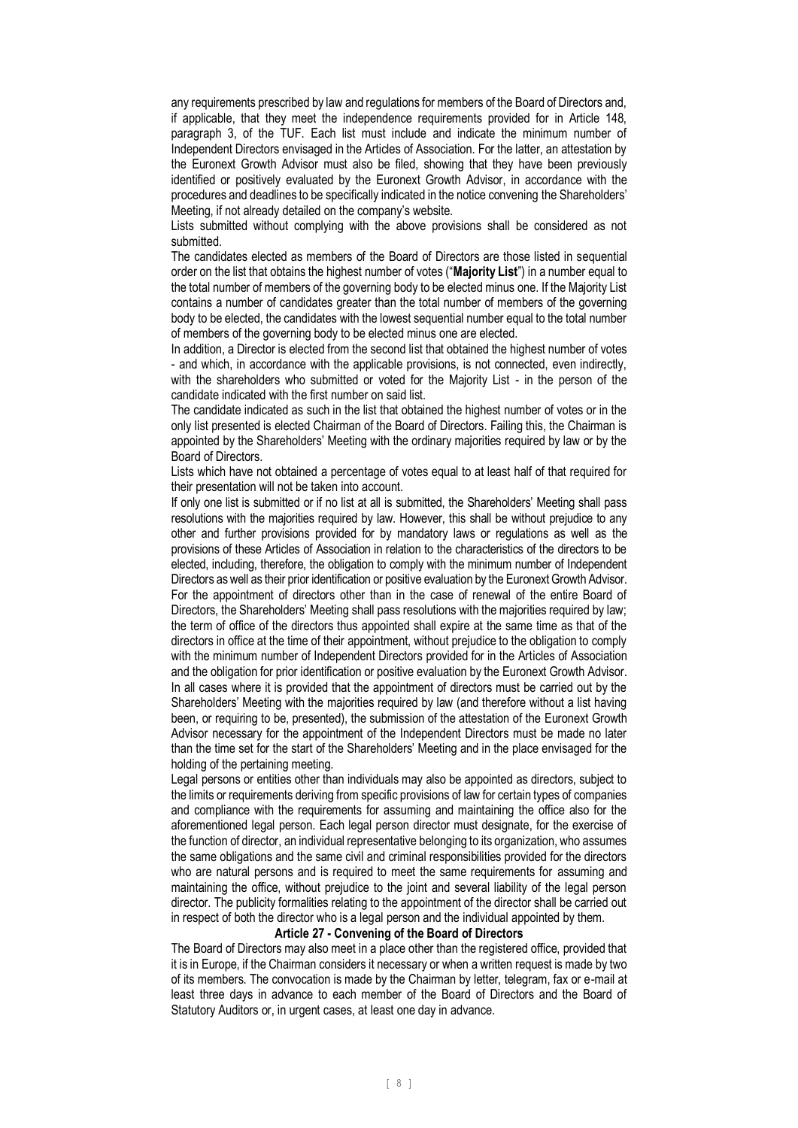any requirements prescribed by law and regulations for members of the Board of Directors and, if applicable, that they meet the independence requirements provided for in Article 148, paragraph 3, of the TUF. Each list must include and indicate the minimum number of Independent Directors envisaged in the Articles of Association. For the latter, an attestation by the Euronext Growth Advisor must also be filed, showing that they have been previously identified or positively evaluated by the Euronext Growth Advisor, in accordance with the procedures and deadlines to be specifically indicated in the notice convening the Shareholders' Meeting, if not already detailed on the company's website.

Lists submitted without complying with the above provisions shall be considered as not submitted.

The candidates elected as members of the Board of Directors are those listed in sequential order on the list that obtains the highest number of votes ("**Majority List**") in a number equal to the total number of members of the governing body to be elected minus one. If the Majority List contains a number of candidates greater than the total number of members of the governing body to be elected, the candidates with the lowest sequential number equal to the total number of members of the governing body to be elected minus one are elected.

In addition, a Director is elected from the second list that obtained the highest number of votes - and which, in accordance with the applicable provisions, is not connected, even indirectly, with the shareholders who submitted or voted for the Majority List - in the person of the candidate indicated with the first number on said list.

The candidate indicated as such in the list that obtained the highest number of votes or in the only list presented is elected Chairman of the Board of Directors. Failing this, the Chairman is appointed by the Shareholders' Meeting with the ordinary majorities required by law or by the Board of Directors.

Lists which have not obtained a percentage of votes equal to at least half of that required for their presentation will not be taken into account.

If only one list is submitted or if no list at all is submitted, the Shareholders' Meeting shall pass resolutions with the majorities required by law. However, this shall be without prejudice to any other and further provisions provided for by mandatory laws or regulations as well as the provisions of these Articles of Association in relation to the characteristics of the directors to be elected, including, therefore, the obligation to comply with the minimum number of Independent Directors as well as their prior identification or positive evaluation by the Euronext Growth Advisor. For the appointment of directors other than in the case of renewal of the entire Board of Directors, the Shareholders' Meeting shall pass resolutions with the majorities required by law; the term of office of the directors thus appointed shall expire at the same time as that of the directors in office at the time of their appointment, without prejudice to the obligation to comply with the minimum number of Independent Directors provided for in the Articles of Association and the obligation for prior identification or positive evaluation by the Euronext Growth Advisor. In all cases where it is provided that the appointment of directors must be carried out by the Shareholders' Meeting with the majorities required by law (and therefore without a list having been, or requiring to be, presented), the submission of the attestation of the Euronext Growth Advisor necessary for the appointment of the Independent Directors must be made no later than the time set for the start of the Shareholders' Meeting and in the place envisaged for the holding of the pertaining meeting.

Legal persons or entities other than individuals may also be appointed as directors, subject to the limits or requirements deriving from specific provisions of law for certain types of companies and compliance with the requirements for assuming and maintaining the office also for the aforementioned legal person. Each legal person director must designate, for the exercise of the function of director, an individual representative belonging to its organization, who assumes the same obligations and the same civil and criminal responsibilities provided for the directors who are natural persons and is required to meet the same requirements for assuming and maintaining the office, without prejudice to the joint and several liability of the legal person director. The publicity formalities relating to the appointment of the director shall be carried out in respect of both the director who is a legal person and the individual appointed by them.

### **Article 27 - Convening of the Board of Directors**

The Board of Directors may also meet in a place other than the registered office, provided that it is in Europe, if the Chairman considers it necessary or when a written request is made by two of its members. The convocation is made by the Chairman by letter, telegram, fax or e-mail at least three days in advance to each member of the Board of Directors and the Board of Statutory Auditors or, in urgent cases, at least one day in advance.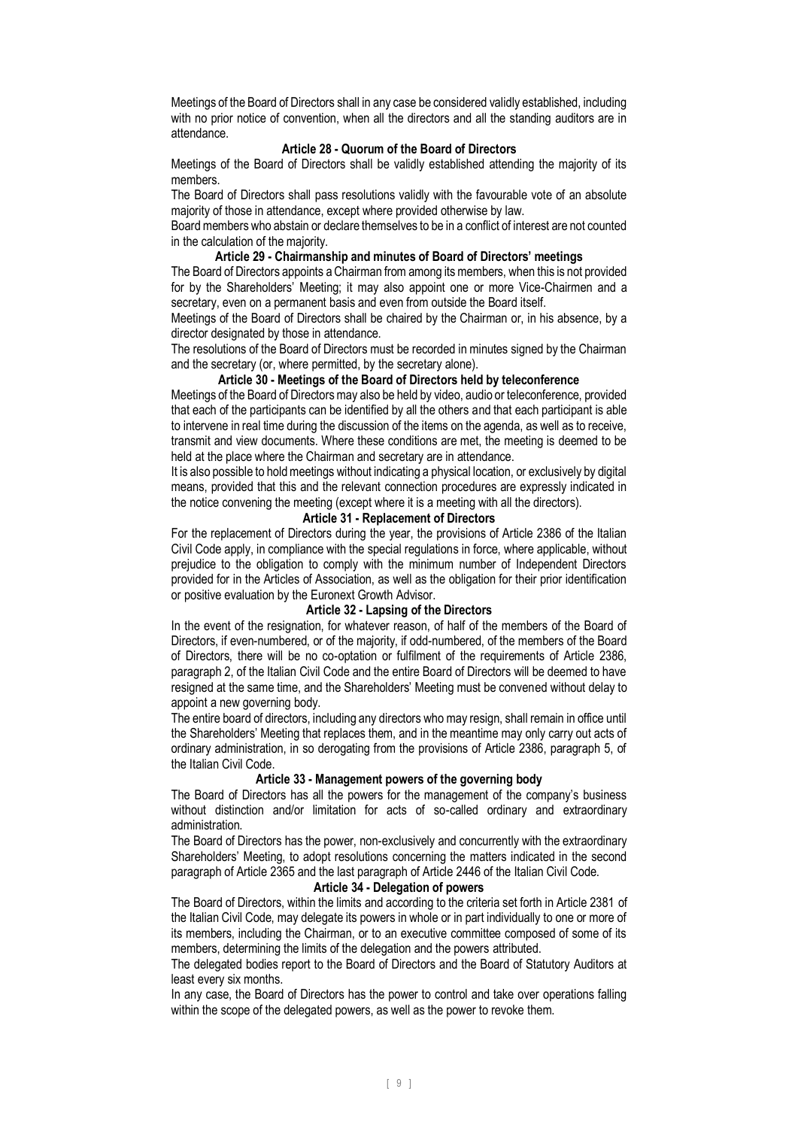Meetings of the Board of Directors shall in any case be considered validly established, including with no prior notice of convention, when all the directors and all the standing auditors are in attendance.

## **Article 28 - Quorum of the Board of Directors**

Meetings of the Board of Directors shall be validly established attending the majority of its members.

The Board of Directors shall pass resolutions validly with the favourable vote of an absolute majority of those in attendance, except where provided otherwise by law.

Board members who abstain or declare themselves to be in a conflict of interest are not counted in the calculation of the majority.

# **Article 29 - Chairmanship and minutes of Board of Directors' meetings**

The Board of Directors appoints a Chairman from among its members, when this is not provided for by the Shareholders' Meeting; it may also appoint one or more Vice-Chairmen and a secretary, even on a permanent basis and even from outside the Board itself.

Meetings of the Board of Directors shall be chaired by the Chairman or, in his absence, by a director designated by those in attendance.

The resolutions of the Board of Directors must be recorded in minutes signed by the Chairman and the secretary (or, where permitted, by the secretary alone).

## **Article 30 - Meetings of the Board of Directors held by teleconference**

Meetings of the Board of Directors may also be held by video, audio or teleconference, provided that each of the participants can be identified by all the others and that each participant is able to intervene in real time during the discussion of the items on the agenda, as well as to receive, transmit and view documents. Where these conditions are met, the meeting is deemed to be held at the place where the Chairman and secretary are in attendance.

It is also possible to hold meetings without indicating a physical location, or exclusively by digital means, provided that this and the relevant connection procedures are expressly indicated in the notice convening the meeting (except where it is a meeting with all the directors).

### **Article 31 - Replacement of Directors**

For the replacement of Directors during the year, the provisions of Article 2386 of the Italian Civil Code apply, in compliance with the special regulations in force, where applicable, without prejudice to the obligation to comply with the minimum number of Independent Directors provided for in the Articles of Association, as well as the obligation for their prior identification or positive evaluation by the Euronext Growth Advisor.

## **Article 32 - Lapsing of the Directors**

In the event of the resignation, for whatever reason, of half of the members of the Board of Directors, if even-numbered, or of the majority, if odd-numbered, of the members of the Board of Directors, there will be no co-optation or fulfilment of the requirements of Article 2386, paragraph 2, of the Italian Civil Code and the entire Board of Directors will be deemed to have resigned at the same time, and the Shareholders' Meeting must be convened without delay to appoint a new governing body.

The entire board of directors, including any directors who may resign, shall remain in office until the Shareholders' Meeting that replaces them, and in the meantime may only carry out acts of ordinary administration, in so derogating from the provisions of Article 2386, paragraph 5, of the Italian Civil Code.

### **Article 33 - Management powers of the governing body**

The Board of Directors has all the powers for the management of the company's business without distinction and/or limitation for acts of so-called ordinary and extraordinary administration.

The Board of Directors has the power, non-exclusively and concurrently with the extraordinary Shareholders' Meeting, to adopt resolutions concerning the matters indicated in the second paragraph of Article 2365 and the last paragraph of Article 2446 of the Italian Civil Code.

### **Article 34 - Delegation of powers**

The Board of Directors, within the limits and according to the criteria set forth in Article 2381 of the Italian Civil Code, may delegate its powers in whole or in part individually to one or more of its members, including the Chairman, or to an executive committee composed of some of its members, determining the limits of the delegation and the powers attributed.

The delegated bodies report to the Board of Directors and the Board of Statutory Auditors at least every six months.

In any case, the Board of Directors has the power to control and take over operations falling within the scope of the delegated powers, as well as the power to revoke them.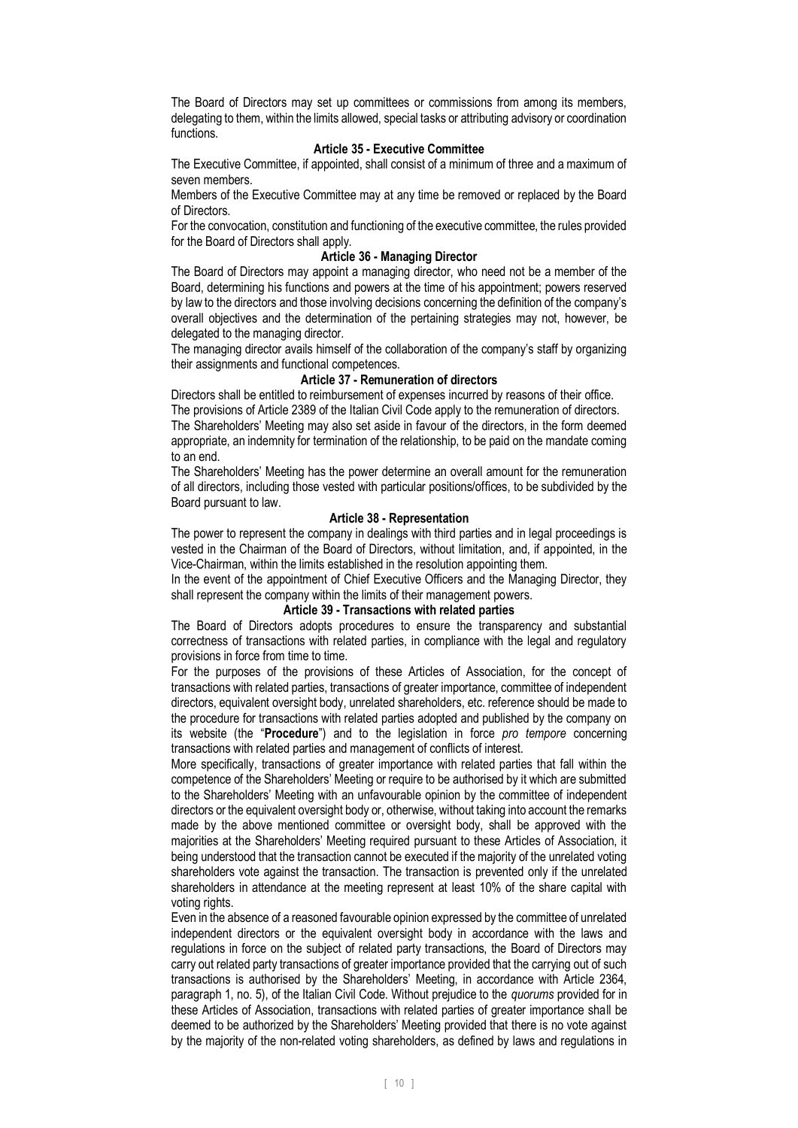The Board of Directors may set up committees or commissions from among its members, delegating to them, within the limits allowed, special tasks or attributing advisory or coordination functions.

# **Article 35 - Executive Committee**

The Executive Committee, if appointed, shall consist of a minimum of three and a maximum of seven members.

Members of the Executive Committee may at any time be removed or replaced by the Board of Directors.

For the convocation, constitution and functioning of the executive committee, the rules provided for the Board of Directors shall apply.

### **Article 36 - Managing Director**

The Board of Directors may appoint a managing director, who need not be a member of the Board, determining his functions and powers at the time of his appointment; powers reserved by law to the directors and those involving decisions concerning the definition of the company's overall objectives and the determination of the pertaining strategies may not, however, be delegated to the managing director.

The managing director avails himself of the collaboration of the company's staff by organizing their assignments and functional competences.

# **Article 37 - Remuneration of directors**

Directors shall be entitled to reimbursement of expenses incurred by reasons of their office. The provisions of Article 2389 of the Italian Civil Code apply to the remuneration of directors. The Shareholders' Meeting may also set aside in favour of the directors, in the form deemed appropriate, an indemnity for termination of the relationship, to be paid on the mandate coming to an end.

The Shareholders' Meeting has the power determine an overall amount for the remuneration of all directors, including those vested with particular positions/offices, to be subdivided by the Board pursuant to law.

## **Article 38 - Representation**

The power to represent the company in dealings with third parties and in legal proceedings is vested in the Chairman of the Board of Directors, without limitation, and, if appointed, in the Vice-Chairman, within the limits established in the resolution appointing them.

In the event of the appointment of Chief Executive Officers and the Managing Director, they shall represent the company within the limits of their management powers.

## **Article 39 - Transactions with related parties**

The Board of Directors adopts procedures to ensure the transparency and substantial correctness of transactions with related parties, in compliance with the legal and regulatory provisions in force from time to time.

For the purposes of the provisions of these Articles of Association, for the concept of transactions with related parties, transactions of greater importance, committee of independent directors, equivalent oversight body, unrelated shareholders, etc. reference should be made to the procedure for transactions with related parties adopted and published by the company on its website (the "**Procedure**") and to the legislation in force *pro tempore* concerning transactions with related parties and management of conflicts of interest.

More specifically, transactions of greater importance with related parties that fall within the competence of the Shareholders' Meeting or require to be authorised by it which are submitted to the Shareholders' Meeting with an unfavourable opinion by the committee of independent directors or the equivalent oversight body or, otherwise, without taking into account the remarks made by the above mentioned committee or oversight body, shall be approved with the majorities at the Shareholders' Meeting required pursuant to these Articles of Association, it being understood that the transaction cannot be executed if the majority of the unrelated voting shareholders vote against the transaction. The transaction is prevented only if the unrelated shareholders in attendance at the meeting represent at least 10% of the share capital with voting rights.

Even in the absence of a reasoned favourable opinion expressed by the committee of unrelated independent directors or the equivalent oversight body in accordance with the laws and regulations in force on the subject of related party transactions, the Board of Directors may carry out related party transactions of greater importance provided that the carrying out of such transactions is authorised by the Shareholders' Meeting, in accordance with Article 2364, paragraph 1, no. 5), of the Italian Civil Code. Without prejudice to the *quorums* provided for in these Articles of Association, transactions with related parties of greater importance shall be deemed to be authorized by the Shareholders' Meeting provided that there is no vote against by the majority of the non-related voting shareholders, as defined by laws and regulations in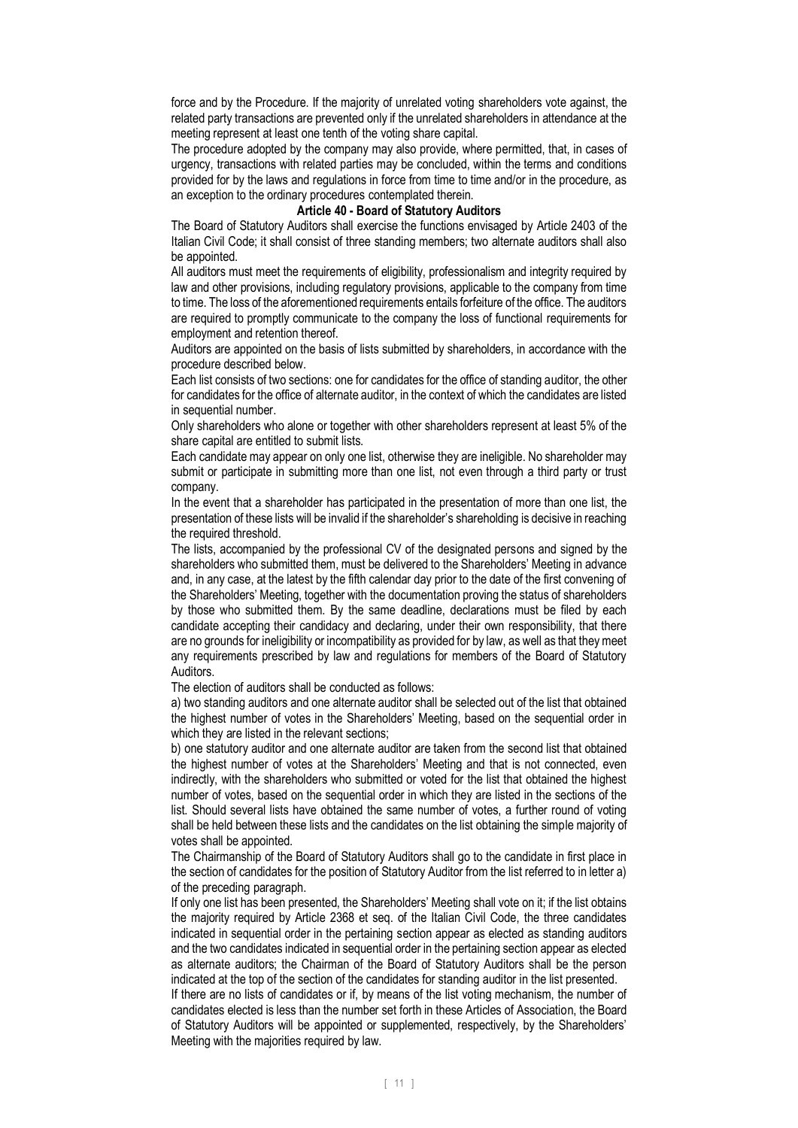force and by the Procedure. If the majority of unrelated voting shareholders vote against, the related party transactions are prevented only if the unrelated shareholders in attendance at the meeting represent at least one tenth of the voting share capital.

The procedure adopted by the company may also provide, where permitted, that, in cases of urgency, transactions with related parties may be concluded, within the terms and conditions provided for by the laws and regulations in force from time to time and/or in the procedure, as an exception to the ordinary procedures contemplated therein.

#### **Article 40 - Board of Statutory Auditors**

The Board of Statutory Auditors shall exercise the functions envisaged by Article 2403 of the Italian Civil Code; it shall consist of three standing members; two alternate auditors shall also be appointed.

All auditors must meet the requirements of eligibility, professionalism and integrity required by law and other provisions, including regulatory provisions, applicable to the company from time to time. The loss of the aforementioned requirements entails forfeiture of the office. The auditors are required to promptly communicate to the company the loss of functional requirements for employment and retention thereof.

Auditors are appointed on the basis of lists submitted by shareholders, in accordance with the procedure described below.

Each list consists of two sections: one for candidates for the office of standing auditor, the other for candidates for the office of alternate auditor, in the context of which the candidates are listed in sequential number.

Only shareholders who alone or together with other shareholders represent at least 5% of the share capital are entitled to submit lists.

Each candidate may appear on only one list, otherwise they are ineligible. No shareholder may submit or participate in submitting more than one list, not even through a third party or trust company.

In the event that a shareholder has participated in the presentation of more than one list, the presentation of these lists will be invalid if the shareholder's shareholding is decisive in reaching the required threshold.

The lists, accompanied by the professional CV of the designated persons and signed by the shareholders who submitted them, must be delivered to the Shareholders' Meeting in advance and, in any case, at the latest by the fifth calendar day prior to the date of the first convening of the Shareholders' Meeting, together with the documentation proving the status of shareholders by those who submitted them. By the same deadline, declarations must be filed by each candidate accepting their candidacy and declaring, under their own responsibility, that there are no grounds for ineligibility or incompatibility as provided for by law, as well as that they meet any requirements prescribed by law and regulations for members of the Board of Statutory Auditors.

The election of auditors shall be conducted as follows:

a) two standing auditors and one alternate auditor shall be selected out of the list that obtained the highest number of votes in the Shareholders' Meeting, based on the sequential order in which they are listed in the relevant sections;

b) one statutory auditor and one alternate auditor are taken from the second list that obtained the highest number of votes at the Shareholders' Meeting and that is not connected, even indirectly, with the shareholders who submitted or voted for the list that obtained the highest number of votes, based on the sequential order in which they are listed in the sections of the list. Should several lists have obtained the same number of votes, a further round of voting shall be held between these lists and the candidates on the list obtaining the simple majority of votes shall be appointed.

The Chairmanship of the Board of Statutory Auditors shall go to the candidate in first place in the section of candidates for the position of Statutory Auditor from the list referred to in letter a) of the preceding paragraph.

If only one list has been presented, the Shareholders' Meeting shall vote on it; if the list obtains the majority required by Article 2368 et seq. of the Italian Civil Code, the three candidates indicated in sequential order in the pertaining section appear as elected as standing auditors and the two candidates indicated in sequential order in the pertaining section appear as elected as alternate auditors; the Chairman of the Board of Statutory Auditors shall be the person indicated at the top of the section of the candidates for standing auditor in the list presented.

If there are no lists of candidates or if, by means of the list voting mechanism, the number of candidates elected is less than the number set forth in these Articles of Association, the Board of Statutory Auditors will be appointed or supplemented, respectively, by the Shareholders' Meeting with the majorities required by law.